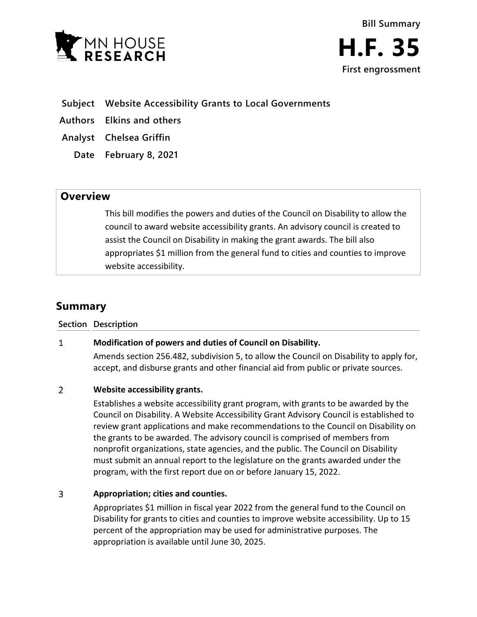



## **Subject Website Accessibility Grants to Local Governments**

**Authors Elkins and others**

**Analyst Chelsea Griffin**

**Date February 8, 2021**

# **Overview**

This bill modifies the powers and duties of the Council on Disability to allow the council to award website accessibility grants. An advisory council is created to assist the Council on Disability in making the grant awards. The bill also appropriates \$1 million from the general fund to cities and counties to improve website accessibility.

# **Summary**

### **Section Description**

### $\mathbf{1}$ **Modification of powers and duties of Council on Disability.**

Amends section 256.482, subdivision 5, to allow the Council on Disability to apply for, accept, and disburse grants and other financial aid from public or private sources.

### $\overline{2}$ **Website accessibility grants.**

Establishes a website accessibility grant program, with grants to be awarded by the Council on Disability. A Website Accessibility Grant Advisory Council is established to review grant applications and make recommendations to the Council on Disability on the grants to be awarded. The advisory council is comprised of members from nonprofit organizations, state agencies, and the public. The Council on Disability must submit an annual report to the legislature on the grants awarded under the program, with the first report due on or before January 15, 2022.

### $\overline{3}$ **Appropriation; cities and counties.**

Appropriates \$1 million in fiscal year 2022 from the general fund to the Council on Disability for grants to cities and counties to improve website accessibility. Up to 15 percent of the appropriation may be used for administrative purposes. The appropriation is available until June 30, 2025.